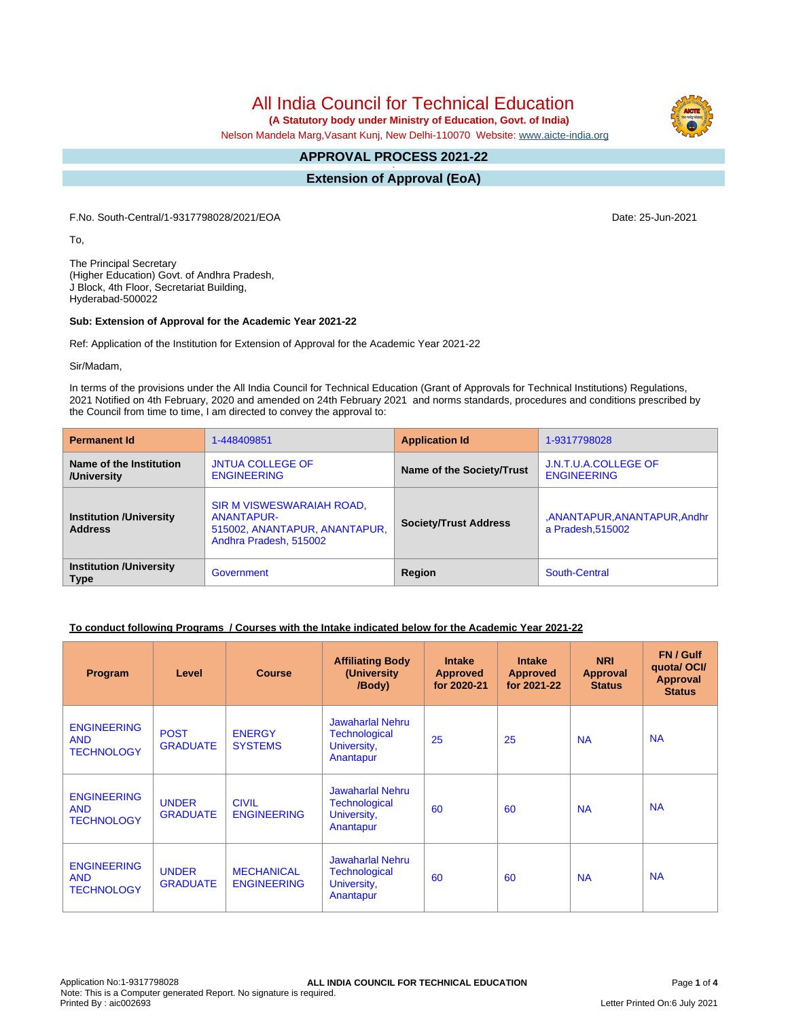# All India Council for Technical Education

 **(A Statutory body under Ministry of Education, Govt. of India)**

Nelson Mandela Marg,Vasant Kunj, New Delhi-110070 Website: [www.aicte-india.org](http://www.aicte-india.org)

#### **APPROVAL PROCESS 2021-22 -**

**Extension of Approval (EoA)**

F.No. South-Central/1-9317798028/2021/EOA Date: 25-Jun-2021

To,

The Principal Secretary (Higher Education) Govt. of Andhra Pradesh, J Block, 4th Floor, Secretariat Building, Hyderabad-500022

#### **Sub: Extension of Approval for the Academic Year 2021-22**

Ref: Application of the Institution for Extension of Approval for the Academic Year 2021-22

Sir/Madam,

In terms of the provisions under the All India Council for Technical Education (Grant of Approvals for Technical Institutions) Regulations, 2021 Notified on 4th February, 2020 and amended on 24th February 2021 and norms standards, procedures and conditions prescribed by the Council from time to time, I am directed to convey the approval to:

| <b>Permanent Id</b>                              | 1-448409851                                                                                               | <b>Application Id</b>        | 1-9317798028                                   |
|--------------------------------------------------|-----------------------------------------------------------------------------------------------------------|------------------------------|------------------------------------------------|
| Name of the Institution<br>/University           | <b>JNTUA COLLEGE OF</b><br><b>ENGINEERING</b>                                                             | Name of the Society/Trust    | J.N.T.U.A.COLLEGE OF<br><b>ENGINEERING</b>     |
| <b>Institution /University</b><br><b>Address</b> | SIR M VISWESWARAIAH ROAD,<br><b>ANANTAPUR-</b><br>515002, ANANTAPUR, ANANTAPUR,<br>Andhra Pradesh, 515002 | <b>Society/Trust Address</b> | ,ANANTAPUR,ANANTAPUR,Andhr<br>a Pradesh.515002 |
| <b>Institution /University</b><br><b>Type</b>    | Government                                                                                                | Region                       | South-Central                                  |

### **To conduct following Programs / Courses with the Intake indicated below for the Academic Year 2021-22**

| Program                                               | Level                           | <b>Course</b>                           | <b>Affiliating Body</b><br>(University<br>/Body)                            | <b>Intake</b><br><b>Approved</b><br>for 2020-21 | <b>Intake</b><br><b>Approved</b><br>for 2021-22 | <b>NRI</b><br>Approval<br><b>Status</b> | FN / Gulf<br>quota/ OCI/<br><b>Approval</b><br><b>Status</b> |
|-------------------------------------------------------|---------------------------------|-----------------------------------------|-----------------------------------------------------------------------------|-------------------------------------------------|-------------------------------------------------|-----------------------------------------|--------------------------------------------------------------|
| <b>ENGINEERING</b><br><b>AND</b><br><b>TECHNOLOGY</b> | <b>POST</b><br><b>GRADUATE</b>  | <b>ENERGY</b><br><b>SYSTEMS</b>         | Jawaharlal Nehru<br><b>Technological</b><br>University,<br>Anantapur        | 25                                              | 25                                              | <b>NA</b>                               | <b>NA</b>                                                    |
| <b>ENGINEERING</b><br><b>AND</b><br><b>TECHNOLOGY</b> | <b>UNDER</b><br><b>GRADUATE</b> | <b>CIVIL</b><br><b>ENGINEERING</b>      | <b>Jawaharlal Nehru</b><br><b>Technological</b><br>University,<br>Anantapur | 60                                              | 60                                              | <b>NA</b>                               | <b>NA</b>                                                    |
| <b>ENGINEERING</b><br><b>AND</b><br><b>TECHNOLOGY</b> | <b>UNDER</b><br><b>GRADUATE</b> | <b>MECHANICAL</b><br><b>ENGINEERING</b> | <b>Jawaharlal Nehru</b><br><b>Technological</b><br>University,<br>Anantapur | 60                                              | 60                                              | <b>NA</b>                               | <b>NA</b>                                                    |

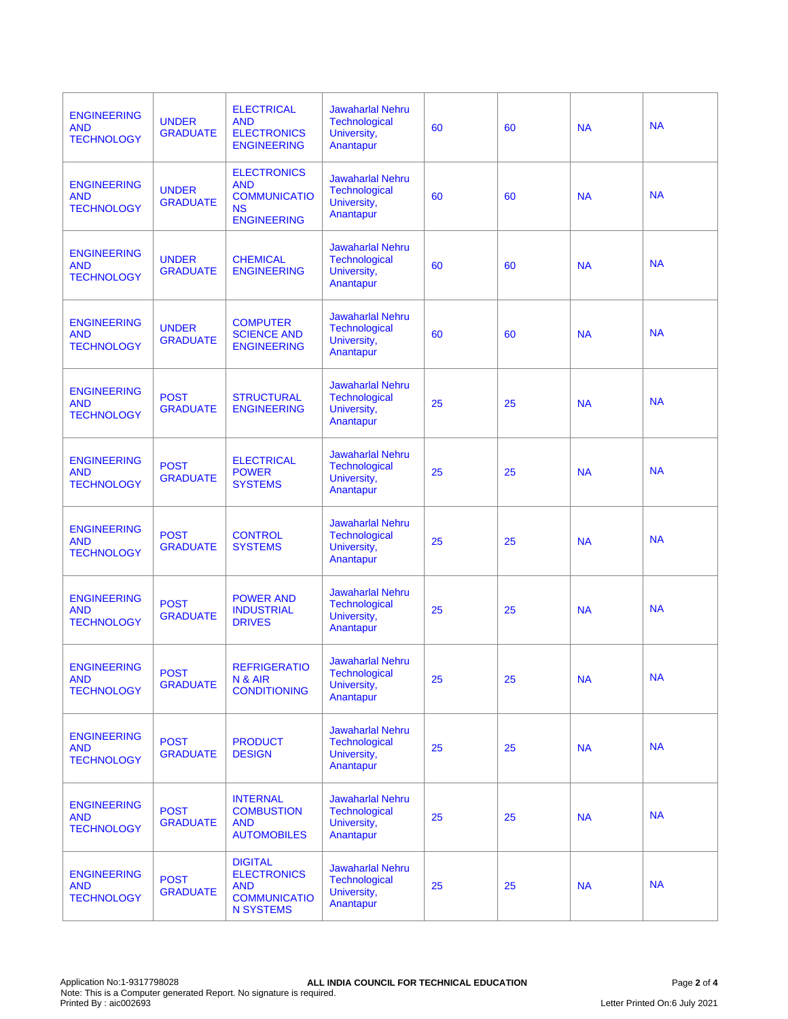| <b>ENGINEERING</b><br><b>AND</b><br><b>TECHNOLOGY</b> | <b>UNDER</b><br><b>GRADUATE</b> | <b>ELECTRICAL</b><br><b>AND</b><br><b>ELECTRONICS</b><br><b>ENGINEERING</b>                   | <b>Jawaharlal Nehru</b><br><b>Technological</b><br>University,<br>Anantapur | 60 | 60 | <b>NA</b> | <b>NA</b> |
|-------------------------------------------------------|---------------------------------|-----------------------------------------------------------------------------------------------|-----------------------------------------------------------------------------|----|----|-----------|-----------|
| <b>ENGINEERING</b><br><b>AND</b><br><b>TECHNOLOGY</b> | <b>UNDER</b><br><b>GRADUATE</b> | <b>ELECTRONICS</b><br><b>AND</b><br><b>COMMUNICATIO</b><br><b>NS</b><br><b>ENGINEERING</b>    | <b>Jawaharlal Nehru</b><br><b>Technological</b><br>University,<br>Anantapur | 60 | 60 | <b>NA</b> | <b>NA</b> |
| <b>ENGINEERING</b><br><b>AND</b><br><b>TECHNOLOGY</b> | <b>UNDER</b><br><b>GRADUATE</b> | <b>CHEMICAL</b><br><b>ENGINEERING</b>                                                         | <b>Jawaharlal Nehru</b><br>Technological<br>University,<br>Anantapur        | 60 | 60 | <b>NA</b> | <b>NA</b> |
| <b>ENGINEERING</b><br><b>AND</b><br><b>TECHNOLOGY</b> | <b>UNDER</b><br><b>GRADUATE</b> | <b>COMPUTER</b><br><b>SCIENCE AND</b><br><b>ENGINEERING</b>                                   | <b>Jawaharlal Nehru</b><br>Technological<br>University,<br>Anantapur        | 60 | 60 | <b>NA</b> | <b>NA</b> |
| <b>ENGINEERING</b><br><b>AND</b><br><b>TECHNOLOGY</b> | <b>POST</b><br><b>GRADUATE</b>  | <b>STRUCTURAL</b><br><b>ENGINEERING</b>                                                       | <b>Jawaharlal Nehru</b><br><b>Technological</b><br>University,<br>Anantapur | 25 | 25 | <b>NA</b> | <b>NA</b> |
| <b>ENGINEERING</b><br><b>AND</b><br><b>TECHNOLOGY</b> | <b>POST</b><br><b>GRADUATE</b>  | <b>ELECTRICAL</b><br><b>POWER</b><br><b>SYSTEMS</b>                                           | <b>Jawaharlal Nehru</b><br>Technological<br>University,<br>Anantapur        | 25 | 25 | <b>NA</b> | <b>NA</b> |
| <b>ENGINEERING</b><br><b>AND</b><br><b>TECHNOLOGY</b> | <b>POST</b><br><b>GRADUATE</b>  | <b>CONTROL</b><br><b>SYSTEMS</b>                                                              | <b>Jawaharlal Nehru</b><br><b>Technological</b><br>University,<br>Anantapur | 25 | 25 | <b>NA</b> | <b>NA</b> |
| <b>ENGINEERING</b><br><b>AND</b><br><b>TECHNOLOGY</b> | <b>POST</b><br><b>GRADUATE</b>  | <b>POWER AND</b><br><b>INDUSTRIAL</b><br><b>DRIVES</b>                                        | <b>Jawaharlal Nehru</b><br><b>Technological</b><br>University,<br>Anantapur | 25 | 25 | <b>NA</b> | <b>NA</b> |
| <b>ENGINEERING</b><br><b>AND</b><br><b>TECHNOLOGY</b> | <b>POST</b><br><b>GRADUATE</b>  | <b>REFRIGERATIO</b><br>N & AIR<br><b>CONDITIONING</b>                                         | <b>Jawaharlal Nehru</b><br><b>Technological</b><br>University,<br>Anantapur | 25 | 25 | <b>NA</b> | <b>NA</b> |
| <b>ENGINEERING</b><br><b>AND</b><br><b>TECHNOLOGY</b> | <b>POST</b><br><b>GRADUATE</b>  | <b>PRODUCT</b><br><b>DESIGN</b>                                                               | <b>Jawaharlal Nehru</b><br><b>Technological</b><br>University,<br>Anantapur | 25 | 25 | <b>NA</b> | <b>NA</b> |
| <b>ENGINEERING</b><br><b>AND</b><br><b>TECHNOLOGY</b> | <b>POST</b><br><b>GRADUATE</b>  | <b>INTERNAL</b><br><b>COMBUSTION</b><br><b>AND</b><br><b>AUTOMOBILES</b>                      | <b>Jawaharlal Nehru</b><br><b>Technological</b><br>University,<br>Anantapur | 25 | 25 | <b>NA</b> | <b>NA</b> |
| <b>ENGINEERING</b><br><b>AND</b><br><b>TECHNOLOGY</b> | <b>POST</b><br><b>GRADUATE</b>  | <b>DIGITAL</b><br><b>ELECTRONICS</b><br><b>AND</b><br><b>COMMUNICATIO</b><br><b>N SYSTEMS</b> | <b>Jawaharlal Nehru</b><br><b>Technological</b><br>University,<br>Anantapur | 25 | 25 | <b>NA</b> | <b>NA</b> |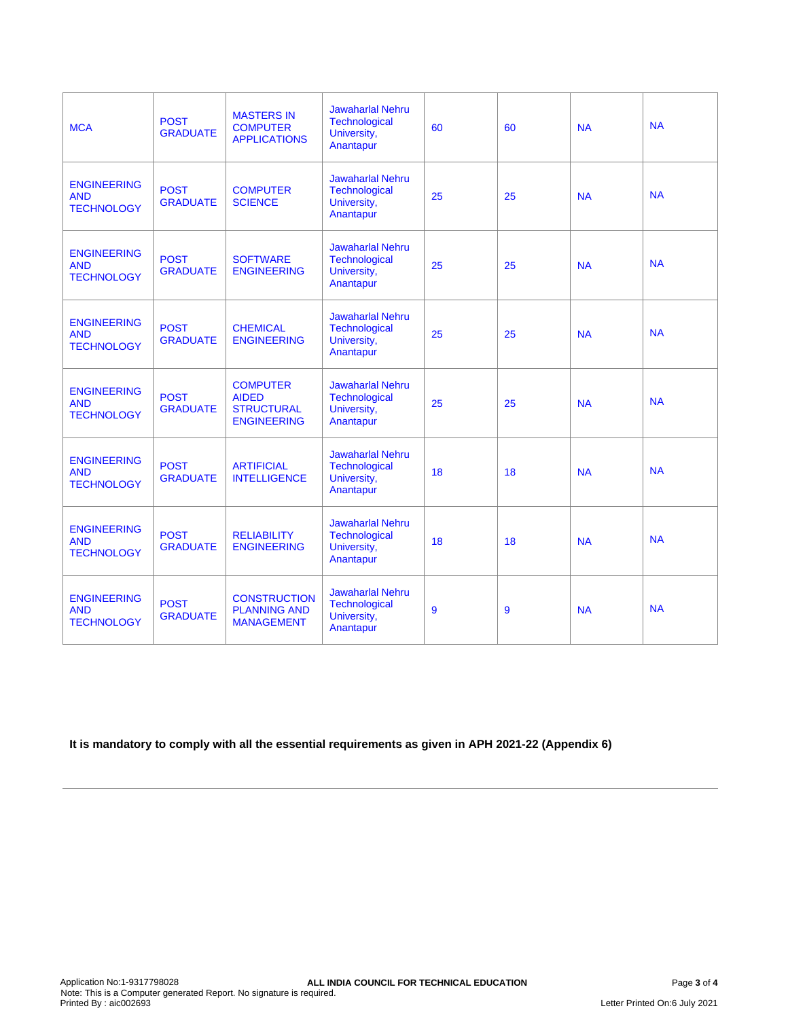| <b>MCA</b>                                            | <b>POST</b><br><b>GRADUATE</b> | <b>MASTERS IN</b><br><b>COMPUTER</b><br><b>APPLICATIONS</b>                | <b>Jawaharlal Nehru</b><br>Technological<br>University,<br>Anantapur        | 60 | 60 | <b>NA</b> | <b>NA</b> |
|-------------------------------------------------------|--------------------------------|----------------------------------------------------------------------------|-----------------------------------------------------------------------------|----|----|-----------|-----------|
| <b>ENGINEERING</b><br><b>AND</b><br><b>TECHNOLOGY</b> | <b>POST</b><br><b>GRADUATE</b> | <b>COMPUTER</b><br><b>SCIENCE</b>                                          | <b>Jawaharlal Nehru</b><br><b>Technological</b><br>University,<br>Anantapur | 25 | 25 | <b>NA</b> | <b>NA</b> |
| <b>ENGINEERING</b><br><b>AND</b><br><b>TECHNOLOGY</b> | <b>POST</b><br><b>GRADUATE</b> | <b>SOFTWARE</b><br><b>ENGINEERING</b>                                      | <b>Jawaharlal Nehru</b><br><b>Technological</b><br>University,<br>Anantapur | 25 | 25 | <b>NA</b> | <b>NA</b> |
| <b>ENGINEERING</b><br><b>AND</b><br><b>TECHNOLOGY</b> | <b>POST</b><br><b>GRADUATE</b> | <b>CHEMICAL</b><br><b>ENGINEERING</b>                                      | <b>Jawaharlal Nehru</b><br><b>Technological</b><br>University,<br>Anantapur | 25 | 25 | <b>NA</b> | <b>NA</b> |
| <b>ENGINEERING</b><br><b>AND</b><br><b>TECHNOLOGY</b> | <b>POST</b><br><b>GRADUATE</b> | <b>COMPUTER</b><br><b>AIDED</b><br><b>STRUCTURAL</b><br><b>ENGINEERING</b> | <b>Jawaharlal Nehru</b><br><b>Technological</b><br>University,<br>Anantapur | 25 | 25 | <b>NA</b> | <b>NA</b> |
| <b>ENGINEERING</b><br><b>AND</b><br><b>TECHNOLOGY</b> | <b>POST</b><br><b>GRADUATE</b> | <b>ARTIFICIAL</b><br><b>INTELLIGENCE</b>                                   | <b>Jawaharlal Nehru</b><br>Technological<br>University,<br>Anantapur        | 18 | 18 | <b>NA</b> | <b>NA</b> |
| <b>ENGINEERING</b><br><b>AND</b><br><b>TECHNOLOGY</b> | <b>POST</b><br><b>GRADUATE</b> | <b>RELIABILITY</b><br><b>ENGINEERING</b>                                   | <b>Jawaharlal Nehru</b><br>Technological<br>University,<br>Anantapur        | 18 | 18 | <b>NA</b> | <b>NA</b> |
| <b>ENGINEERING</b><br><b>AND</b><br><b>TECHNOLOGY</b> | <b>POST</b><br><b>GRADUATE</b> | <b>CONSTRUCTION</b><br><b>PLANNING AND</b><br><b>MANAGEMENT</b>            | <b>Jawaharlal Nehru</b><br>Technological<br>University,<br>Anantapur        | 9  | 9  | <b>NA</b> | <b>NA</b> |

**It is mandatory to comply with all the essential requirements as given in APH 2021-22 (Appendix 6)**